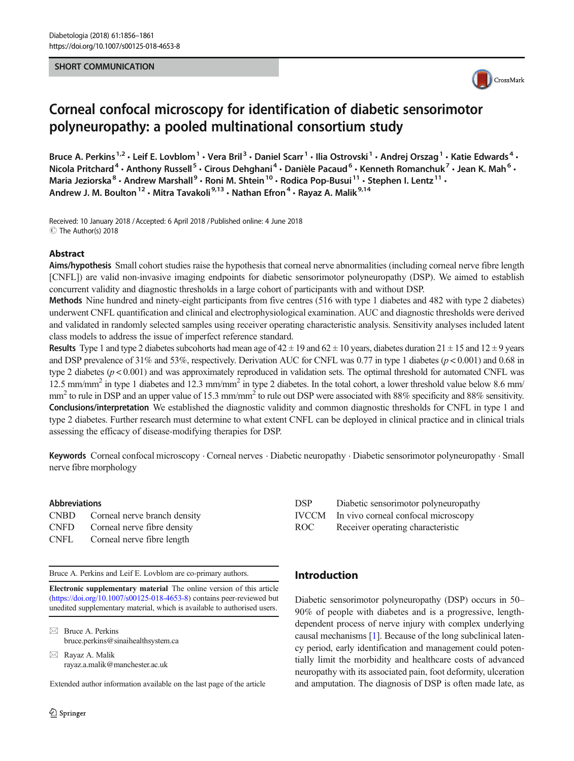### SHORT COMMUNICATION



# Corneal confocal microscopy for identification of diabetic sensorimotor polyneuropathy: a pooled multinational consortium study

Bruce A. Perkins<sup>1,2</sup> • Leif E. Lovblom<sup>1</sup> • Vera Bril<sup>3</sup> • Daniel Scarr<sup>1</sup> • Ilia Ostrovski<sup>1</sup> • Andrej Orszag<sup>1</sup> • Katie Edwards<sup>4</sup> • Nicola Pritchard<sup>4</sup> • Anthony Russell<sup>5</sup> • Cirous Dehghani<sup>4</sup> • Danièle Pacaud<sup>6</sup> • Kenneth Romanchuk<sup>7</sup> • Jean K. Mah<sup>6</sup> • Maria Jeziorska<sup>8</sup> · Andrew Marshall<sup>9</sup> · Roni M. Shtein<sup>10</sup> · Rodica Pop-Busui<sup>11</sup> · Stephen I. Lentz<sup>11</sup> · Andrew J. M. Boulton<sup>12</sup> · Mitra Tavakoli<sup>9,13</sup> · Nathan Efron<sup>4</sup> · Rayaz A. Malik<sup>9,14</sup>

Received: 10 January 2018 /Accepted: 6 April 2018 /Published online: 4 June 2018  $\circledcirc$  The Author(s) 2018

### Abstract

Aims/hypothesis Small cohort studies raise the hypothesis that corneal nerve abnormalities (including corneal nerve fibre length [CNFL]) are valid non-invasive imaging endpoints for diabetic sensorimotor polyneuropathy (DSP). We aimed to establish concurrent validity and diagnostic thresholds in a large cohort of participants with and without DSP.

Methods Nine hundred and ninety-eight participants from five centres (516 with type 1 diabetes and 482 with type 2 diabetes) underwent CNFL quantification and clinical and electrophysiological examination. AUC and diagnostic thresholds were derived and validated in randomly selected samples using receiver operating characteristic analysis. Sensitivity analyses included latent class models to address the issue of imperfect reference standard.

**Results** Type 1 and type 2 diabetes subcohorts had mean age of  $42 \pm 19$  and  $62 \pm 10$  years, diabetes duration  $21 \pm 15$  and  $12 \pm 9$  years and DSP prevalence of 31% and 53%, respectively. Derivation AUC for CNFL was 0.77 in type 1 diabetes ( $p < 0.001$ ) and 0.68 in type 2 diabetes  $(p < 0.001)$  and was approximately reproduced in validation sets. The optimal threshold for automated CNFL was 12.5 mm/mm<sup>2</sup> in type 1 diabetes and 12.3 mm/mm<sup>2</sup> in type 2 diabetes. In the total cohort, a lower threshold value below 8.6 mm/  $mm<sup>2</sup>$  to rule in DSP and an upper value of 15.3 mm/mm<sup>2</sup> to rule out DSP were associated with 88% specificity and 88% sensitivity. Conclusions/interpretation We established the diagnostic validity and common diagnostic thresholds for CNFL in type 1 and type 2 diabetes. Further research must determine to what extent CNFL can be deployed in clinical practice and in clinical trials assessing the efficacy of disease-modifying therapies for DSP.

Keywords Corneal confocal microscopy  $\cdot$  Corneal nerves  $\cdot$  Diabetic neuropathy  $\cdot$  Diabetic sensorimotor polyneuropathy  $\cdot$  Small nerve fibre morphology

### Abbreviations

| <b>CNBD</b> | Corneal nerve branch density |
|-------------|------------------------------|
| CNFD.       | Corneal nerve fibre density  |
| CNFL        | Corneal nerve fibre length   |

Bruce A. Perkins and Leif E. Lovblom are co-primary authors.

Electronic supplementary material The online version of this article (<https://doi.org/10.1007/s00125-018-4653-8>) contains peer-reviewed but unedited supplementary material, which is available to authorised users.

 $\boxtimes$  Rayaz A. Malik [rayaz.a.malik@manchester.ac.uk](mailto:rayaz.a.malik@manchester.ac.uk)

Extended author information available on the last page of the article

| DSP          | Diabetic sensorimotor polyneuropathy |
|--------------|--------------------------------------|
| <b>IVCCM</b> | In vivo corneal confocal microscopy  |
| ROC          | Receiver operating characteristic    |

# Introduction

Diabetic sensorimotor polyneuropathy (DSP) occurs in 50– 90% of people with diabetes and is a progressive, lengthdependent process of nerve injury with complex underlying causal mechanisms [\[1](#page-4-0)]. Because of the long subclinical latency period, early identification and management could potentially limit the morbidity and healthcare costs of advanced neuropathy with its associated pain, foot deformity, ulceration and amputation. The diagnosis of DSP is often made late, as

 $\boxtimes$  Bruce A. Perkins [bruce.perkins@sinaihealthsystem.ca](mailto:bruce.perkins@sinaihealthsystem.ca)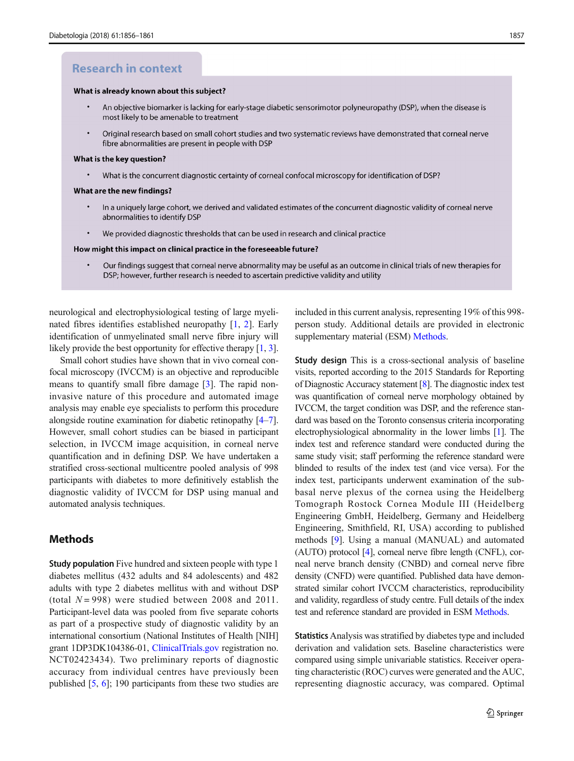# **Research in context**

#### What is already known about this subject?

- An objective biomarker is lacking for early-stage diabetic sensorimotor polyneuropathy (DSP), when the disease is most likely to be amenable to treatment
- Original research based on small cohort studies and two systematic reviews have demonstrated that corneal nerve • fibre abnormalities are present in people with DSP

#### What is the key question?

• What is the concurrent diagnostic certainty of corneal confocal microscopy for identification of DSP?

#### What are the new findings?

- In a uniquely large cohort, we derived and validated estimates of the concurrent diagnostic validity of corneal nerve abnormalities to identify DSP
- We provided diagnostic thresholds that can be used in research and clinical practice

#### How might this impact on clinical practice in the foreseeable future?

• Our findings suggest that corneal nerve abnormality may be useful as an outcome in clinical trials of new therapies for DSP; however, further research is needed to ascertain predictive validity and utility

neurological and electrophysiological testing of large myelinated fibres identifies established neuropathy [\[1](#page-4-0), [2](#page-5-0)]. Early identification of unmyelinated small nerve fibre injury will likely provide the best opportunity for effective therapy [\[1,](#page-4-0) [3\]](#page-5-0).

Small cohort studies have shown that in vivo corneal confocal microscopy (IVCCM) is an objective and reproducible means to quantify small fibre damage [\[3](#page-5-0)]. The rapid noninvasive nature of this procedure and automated image analysis may enable eye specialists to perform this procedure alongside routine examination for diabetic retinopathy [[4](#page-5-0)–[7\]](#page-5-0). However, small cohort studies can be biased in participant selection, in IVCCM image acquisition, in corneal nerve quantification and in defining DSP. We have undertaken a stratified cross-sectional multicentre pooled analysis of 998 participants with diabetes to more definitively establish the diagnostic validity of IVCCM for DSP using manual and automated analysis techniques.

### Methods

Study population Five hundred and sixteen people with type 1 diabetes mellitus (432 adults and 84 adolescents) and 482 adults with type 2 diabetes mellitus with and without DSP (total  $N = 998$ ) were studied between 2008 and 2011. Participant-level data was pooled from five separate cohorts as part of a prospective study of diagnostic validity by an international consortium (National Institutes of Health [NIH] grant 1DP3DK104386-01, [ClinicalTrials.gov](http://clinicaltrials.gov) registration no. NCT02423434). Two preliminary reports of diagnostic accuracy from individual centres have previously been published [\[5,](#page-5-0) [6](#page-5-0)]; 190 participants from these two studies are included in this current analysis, representing 19% of this 998 person study. Additional details are provided in electronic supplementary material (ESM) Methods.

Study design This is a cross-sectional analysis of baseline visits, reported according to the 2015 Standards for Reporting of Diagnostic Accuracy statement [\[8](#page-5-0)]. The diagnostic index test was quantification of corneal nerve morphology obtained by IVCCM, the target condition was DSP, and the reference standard was based on the Toronto consensus criteria incorporating electrophysiological abnormality in the lower limbs [\[1](#page-4-0)]. The index test and reference standard were conducted during the same study visit; staff performing the reference standard were blinded to results of the index test (and vice versa). For the index test, participants underwent examination of the subbasal nerve plexus of the cornea using the Heidelberg Tomograph Rostock Cornea Module III (Heidelberg Engineering GmbH, Heidelberg, Germany and Heidelberg Engineering, Smithfield, RI, USA) according to published methods [[9\]](#page-5-0). Using a manual (MANUAL) and automated (AUTO) protocol [\[4\]](#page-5-0), corneal nerve fibre length (CNFL), corneal nerve branch density (CNBD) and corneal nerve fibre density (CNFD) were quantified. Published data have demonstrated similar cohort IVCCM characteristics, reproducibility and validity, regardless of study centre. Full details of the index test and reference standard are provided in ESM Methods.

Statistics Analysis was stratified by diabetes type and included derivation and validation sets. Baseline characteristics were compared using simple univariable statistics. Receiver operating characteristic (ROC) curves were generated and the AUC, representing diagnostic accuracy, was compared. Optimal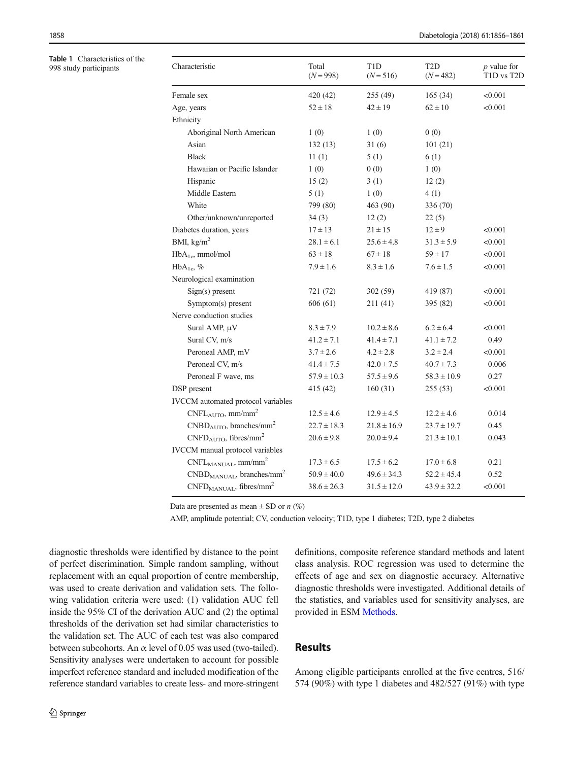<span id="page-2-0"></span>Table 1 Characteristics of the 998 study participants Characteristic Characteristic Characteristic Characteristic Characteristic Characteristic Characteristic Characteristic Characteristic Characteristic Characteristic Characteristic Characteristic Char

| Characteristic                                           | Total<br>$(N = 998)$ | T <sub>1</sub> D<br>$(N = 516)$ | T <sub>2</sub> D<br>$(N=482)$ | $p$ value for<br>T1D vs T2D |
|----------------------------------------------------------|----------------------|---------------------------------|-------------------------------|-----------------------------|
| Female sex                                               | 420 (42)             | 255 (49)                        | 165(34)                       | < 0.001                     |
| Age, years                                               | $52 \pm 18$          | $42 \pm 19$                     | $62 \pm 10$                   | < 0.001                     |
| Ethnicity                                                |                      |                                 |                               |                             |
| Aboriginal North American                                | 1(0)                 | 1(0)                            | 0(0)                          |                             |
| Asian                                                    | 132(13)              | 31(6)                           | 101(21)                       |                             |
| <b>Black</b>                                             | 11(1)                | 5(1)                            | 6(1)                          |                             |
| Hawaiian or Pacific Islander                             | 1(0)                 | 0(0)                            | 1(0)                          |                             |
| Hispanic                                                 | 15(2)                | 3(1)                            | 12(2)                         |                             |
| Middle Eastern                                           | 5(1)                 | 1(0)                            | 4(1)                          |                             |
| White                                                    | 799 (80)             | 463 (90)                        | 336 (70)                      |                             |
| Other/unknown/unreported                                 | 34(3)                | 12(2)                           | 22(5)                         |                             |
| Diabetes duration, years                                 | $17 \pm 13$          | $21 \pm 15$                     | $12 \pm 9$                    | < 0.001                     |
| BMI, $\text{kg/m}^2$                                     | $28.1 \pm 6.1$       | $25.6 \pm 4.8$                  | $31.3 \pm 5.9$                | < 0.001                     |
| HbA <sub>1c</sub> , mmol/mol                             | $63 \pm 18$          | $67 \pm 18$                     | $59 \pm 17$                   | < 0.001                     |
| $HbA_{1c}$ , %                                           | $7.9 \pm 1.6$        | $8.3 \pm 1.6$                   | $7.6 \pm 1.5$                 | < 0.001                     |
| Neurological examination                                 |                      |                                 |                               |                             |
| Sign(s) present                                          | 721 (72)             | 302(59)                         | 419 (87)                      | < 0.001                     |
| Symptom(s) present                                       | 606(61)              | 211 (41)                        | 395 (82)                      | < 0.001                     |
| Nerve conduction studies                                 |                      |                                 |                               |                             |
| Sural AMP, $\mu$ V                                       | $8.3 \pm 7.9$        | $10.2 \pm 8.6$                  | $6.2 \pm 6.4$                 | < 0.001                     |
| Sural CV, m/s                                            | $41.2 \pm 7.1$       | $41.4 \pm 7.1$                  | $41.1 \pm 7.2$                | 0.49                        |
| Peroneal AMP, mV                                         | $3.7 \pm 2.6$        | $4.2 \pm 2.8$                   | $3.2 \pm 2.4$                 | < 0.001                     |
| Peroneal CV, m/s                                         | $41.4 \pm 7.5$       | $42.0 \pm 7.5$                  | $40.7 \pm 7.3$                | 0.006                       |
| Peroneal F wave, ms                                      | $57.9 \pm 10.3$      | $57.5 \pm 9.6$                  | $58.3 \pm 10.9$               | 0.27                        |
| DSP present                                              | 415 (42)             | 160(31)                         | 255(53)                       | < 0.001                     |
| <b>IVCCM</b> automated protocol variables                |                      |                                 |                               |                             |
| $CNFL_{AUTO}$ , mm/mm <sup>2</sup>                       | $12.5 \pm 4.6$       | $12.9 \pm 4.5$                  | $12.2 \pm 4.6$                | 0.014                       |
| $\text{CNBD}_{\text{AUTO}}$ , branches/mm <sup>2</sup>   | $22.7 \pm 18.3$      | $21.8 \pm 16.9$                 | $23.7 \pm 19.7$               | 0.45                        |
| $\mathrm{CNFD}_\mathrm{AUTO},$ fibres/mm <sup>2</sup>    | $20.6 \pm 9.8$       | $20.0 \pm 9.4$                  | $21.3 \pm 10.1$               | 0.043                       |
| <b>IVCCM</b> manual protocol variables                   |                      |                                 |                               |                             |
| $CNFL_{MANUAL}$ , mm/mm <sup>2</sup>                     | $17.3 \pm 6.5$       | $17.5 \pm 6.2$                  | $17.0 \pm 6.8$                | 0.21                        |
| $\text{CNBD}_{\text{MANUAL}}$ , branches/mm <sup>2</sup> | $50.9 \pm 40.0$      | $49.6 \pm 34.3$                 | $52.2 \pm 45.4$               | 0.52                        |
| $CNFD_{MANUAL}$ , fibres/mm <sup>2</sup>                 | $38.6 \pm 26.3$      | $31.5 \pm 12.0$                 | $43.9 \pm 32.2$               | < 0.001                     |

Data are presented as mean  $\pm$  SD or *n* (%)

AMP, amplitude potential; CV, conduction velocity; T1D, type 1 diabetes; T2D, type 2 diabetes

diagnostic thresholds were identified by distance to the point of perfect discrimination. Simple random sampling, without replacement with an equal proportion of centre membership, was used to create derivation and validation sets. The following validation criteria were used: (1) validation AUC fell inside the 95% CI of the derivation AUC and (2) the optimal thresholds of the derivation set had similar characteristics to the validation set. The AUC of each test was also compared between subcohorts. An  $\alpha$  level of 0.05 was used (two-tailed). Sensitivity analyses were undertaken to account for possible imperfect reference standard and included modification of the reference standard variables to create less- and more-stringent definitions, composite reference standard methods and latent class analysis. ROC regression was used to determine the effects of age and sex on diagnostic accuracy. Alternative diagnostic thresholds were investigated. Additional details of the statistics, and variables used for sensitivity analyses, are provided in ESM Methods.

# **Results**

Among eligible participants enrolled at the five centres, 516/ 574 (90%) with type 1 diabetes and 482/527 (91%) with type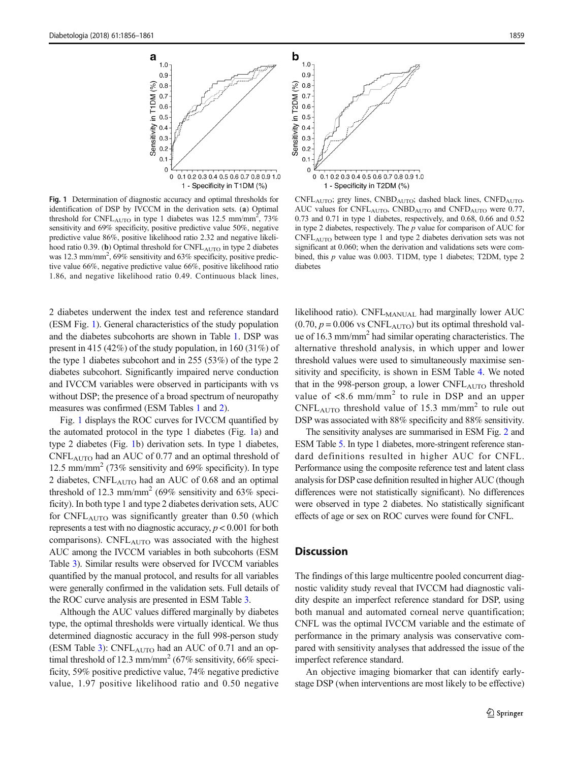

Fig. 1 Determination of diagnostic accuracy and optimal thresholds for identification of DSP by IVCCM in the derivation sets. (a) Optimal threshold for CNFL<sub>AUTO</sub> in type 1 diabetes was 12.5 mm/mm<sup>2</sup>, 73% sensitivity and 69% specificity, positive predictive value 50%, negative predictive value 86%, positive likelihood ratio 2.32 and negative likelihood ratio 0.39. (b) Optimal threshold for CNFL<sub>AUTO</sub> in type 2 diabetes was 12.3 mm/mm<sup>2</sup>, 69% sensitivity and 63% specificity, positive predictive value 66%, negative predictive value 66%, positive likelihood ratio 1.86, and negative likelihood ratio 0.49. Continuous black lines,

CNFLAUTO; grey lines, CNBDAUTO; dashed black lines, CNFDAUTO. AUC values for CNFLAUTO, CNBDAUTO and CNFDAUTO were 0.77, 0.73 and 0.71 in type 1 diabetes, respectively, and 0.68, 0.66 and 0.52 in type 2 diabetes, respectively. The p value for comparison of AUC for CNFLAUTO between type 1 and type 2 diabetes derivation sets was not significant at 0.060; when the derivation and validations sets were combined, this p value was 0.003. T1DM, type 1 diabetes; T2DM, type 2 diabetes

2 diabetes underwent the index test and reference standard (ESM Fig. 1). General characteristics of the study population and the diabetes subcohorts are shown in Table [1](#page-2-0). DSP was present in 415 (42%) of the study population, in 160 (31%) of the type 1 diabetes subcohort and in 255 (53%) of the type 2 diabetes subcohort. Significantly impaired nerve conduction and IVCCM variables were observed in participants with vs without DSP; the presence of a broad spectrum of neuropathy measures was confirmed (ESM Tables 1 and 2).

Fig. 1 displays the ROC curves for IVCCM quantified by the automated protocol in the type 1 diabetes (Fig. 1a) and type 2 diabetes (Fig. 1b) derivation sets. In type 1 diabetes, CNFLAUTO had an AUC of 0.77 and an optimal threshold of 12.5 mm/mm2 (73% sensitivity and 69% specificity). In type 2 diabetes, CNFLAUTO had an AUC of 0.68 and an optimal threshold of 12.3 mm/mm<sup>2</sup> (69% sensitivity and 63% specificity). In both type 1 and type 2 diabetes derivation sets, AUC for  $CNFL_{\text{AUTO}}$  was significantly greater than 0.50 (which represents a test with no diagnostic accuracy,  $p < 0.001$  for both comparisons). CNFLAUTO was associated with the highest AUC among the IVCCM variables in both subcohorts (ESM Table 3). Similar results were observed for IVCCM variables quantified by the manual protocol, and results for all variables were generally confirmed in the validation sets. Full details of the ROC curve analysis are presented in ESM Table 3.

Although the AUC values differed marginally by diabetes type, the optimal thresholds were virtually identical. We thus determined diagnostic accuracy in the full 998-person study (ESM Table 3): CNFLAUTO had an AUC of 0.71 and an optimal threshold of 12.3 mm/mm<sup>2</sup> (67% sensitivity, 66% specificity, 59% positive predictive value, 74% negative predictive value, 1.97 positive likelihood ratio and 0.50 negative likelihood ratio). CNFL<sub>MANUAL</sub> had marginally lower AUC  $(0.70, p = 0.006 \text{ vs } CNFL_{\text{ALITO}})$  but its optimal threshold value of 16.3 mm/mm2 had similar operating characteristics. The alternative threshold analysis, in which upper and lower threshold values were used to simultaneously maximise sensitivity and specificity, is shown in ESM Table 4. We noted that in the 998-person group, a lower CNFLAUTO threshold value of  $\langle 8.6 \text{ mm/mm}^2$  to rule in DSP and an upper  $CNFL_{AUTO}$  threshold value of 15.3 mm/mm<sup>2</sup> to rule out DSP was associated with 88% specificity and 88% sensitivity.

The sensitivity analyses are summarised in ESM Fig. 2 and ESM Table 5. In type 1 diabetes, more-stringent reference standard definitions resulted in higher AUC for CNFL. Performance using the composite reference test and latent class analysis for DSP case definition resulted in higher AUC (though differences were not statistically significant). No differences were observed in type 2 diabetes. No statistically significant effects of age or sex on ROC curves were found for CNFL.

### **Discussion**

The findings of this large multicentre pooled concurrent diagnostic validity study reveal that IVCCM had diagnostic validity despite an imperfect reference standard for DSP, using both manual and automated corneal nerve quantification; CNFL was the optimal IVCCM variable and the estimate of performance in the primary analysis was conservative compared with sensitivity analyses that addressed the issue of the imperfect reference standard.

An objective imaging biomarker that can identify earlystage DSP (when interventions are most likely to be effective)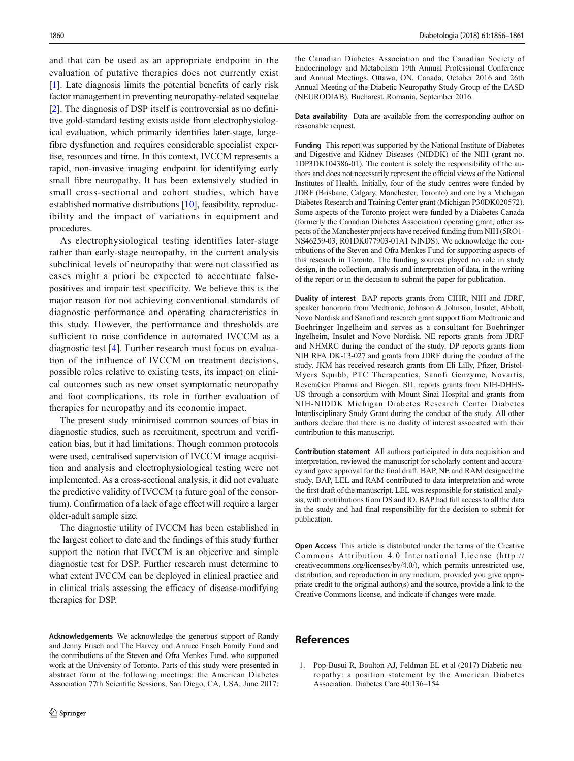<span id="page-4-0"></span>and that can be used as an appropriate endpoint in the evaluation of putative therapies does not currently exist [1]. Late diagnosis limits the potential benefits of early risk factor management in preventing neuropathy-related sequelae [\[2](#page-5-0)]. The diagnosis of DSP itself is controversial as no definitive gold-standard testing exists aside from electrophysiological evaluation, which primarily identifies later-stage, largefibre dysfunction and requires considerable specialist expertise, resources and time. In this context, IVCCM represents a rapid, non-invasive imaging endpoint for identifying early small fibre neuropathy. It has been extensively studied in small cross-sectional and cohort studies, which have established normative distributions [\[10](#page-5-0)], feasibility, reproducibility and the impact of variations in equipment and procedures.

As electrophysiological testing identifies later-stage rather than early-stage neuropathy, in the current analysis subclinical levels of neuropathy that were not classified as cases might a priori be expected to accentuate falsepositives and impair test specificity. We believe this is the major reason for not achieving conventional standards of diagnostic performance and operating characteristics in this study. However, the performance and thresholds are sufficient to raise confidence in automated IVCCM as a diagnostic test [[4\]](#page-5-0). Further research must focus on evaluation of the influence of IVCCM on treatment decisions, possible roles relative to existing tests, its impact on clinical outcomes such as new onset symptomatic neuropathy and foot complications, its role in further evaluation of therapies for neuropathy and its economic impact.

The present study minimised common sources of bias in diagnostic studies, such as recruitment, spectrum and verification bias, but it had limitations. Though common protocols were used, centralised supervision of IVCCM image acquisition and analysis and electrophysiological testing were not implemented. As a cross-sectional analysis, it did not evaluate the predictive validity of IVCCM (a future goal of the consortium). Confirmation of a lack of age effect will require a larger older-adult sample size.

The diagnostic utility of IVCCM has been established in the largest cohort to date and the findings of this study further support the notion that IVCCM is an objective and simple diagnostic test for DSP. Further research must determine to what extent IVCCM can be deployed in clinical practice and in clinical trials assessing the efficacy of disease-modifying therapies for DSP.

Acknowledgements We acknowledge the generous support of Randy and Jenny Frisch and The Harvey and Annice Frisch Family Fund and the contributions of the Steven and Ofra Menkes Fund, who supported work at the University of Toronto. Parts of this study were presented in abstract form at the following meetings: the American Diabetes Association 77th Scientific Sessions, San Diego, CA, USA, June 2017; the Canadian Diabetes Association and the Canadian Society of Endocrinology and Metabolism 19th Annual Professional Conference and Annual Meetings, Ottawa, ON, Canada, October 2016 and 26th Annual Meeting of the Diabetic Neuropathy Study Group of the EASD (NEURODIAB), Bucharest, Romania, September 2016.

Data availability Data are available from the corresponding author on reasonable request.

Funding This report was supported by the National Institute of Diabetes and Digestive and Kidney Diseases (NIDDK) of the NIH (grant no. 1DP3DK104386-01). The content is solely the responsibility of the authors and does not necessarily represent the official views of the National Institutes of Health. Initially, four of the study centres were funded by JDRF (Brisbane, Calgary, Manchester, Toronto) and one by a Michigan Diabetes Research and Training Center grant (Michigan P30DK020572). Some aspects of the Toronto project were funded by a Diabetes Canada (formerly the Canadian Diabetes Association) operating grant; other aspects of the Manchester projects have received funding from NIH (5RO1- NS46259-03, R01DK077903-01A1 NINDS). We acknowledge the contributions of the Steven and Ofra Menkes Fund for supporting aspects of this research in Toronto. The funding sources played no role in study design, in the collection, analysis and interpretation of data, in the writing of the report or in the decision to submit the paper for publication.

Duality of interest BAP reports grants from CIHR, NIH and JDRF, speaker honoraria from Medtronic, Johnson & Johnson, Insulet, Abbott, Novo Nordisk and Sanofi and research grant support from Medtronic and Boehringer Ingelheim and serves as a consultant for Boehringer Ingelheim, Insulet and Novo Nordisk. NE reports grants from JDRF and NHMRC during the conduct of the study. DP reports grants from NIH RFA DK-13-027 and grants from JDRF during the conduct of the study. JKM has received research grants from Eli Lilly, Pfizer, Bristol-Myers Squibb, PTC Therapeutics, Sanofi Genzyme, Novartis, ReveraGen Pharma and Biogen. SIL reports grants from NIH-DHHS-US through a consortium with Mount Sinai Hospital and grants from NIH-NIDDK Michigan Diabetes Research Center Diabetes Interdisciplinary Study Grant during the conduct of the study. All other authors declare that there is no duality of interest associated with their contribution to this manuscript.

Contribution statement All authors participated in data acquisition and interpretation, reviewed the manuscript for scholarly content and accuracy and gave approval for the final draft. BAP, NE and RAM designed the study. BAP, LEL and RAM contributed to data interpretation and wrote the first draft of the manuscript. LEL was responsible for statistical analysis, with contributions from DS and IO. BAP had full access to all the data in the study and had final responsibility for the decision to submit for publication.

Open Access This article is distributed under the terms of the Creative Commons Attribution 4.0 International License (http:// creativecommons.org/licenses/by/4.0/), which permits unrestricted use, distribution, and reproduction in any medium, provided you give appropriate credit to the original author(s) and the source, provide a link to the Creative Commons license, and indicate if changes were made.

# References

1. Pop-Busui R, Boulton AJ, Feldman EL et al (2017) Diabetic neuropathy: a position statement by the American Diabetes Association. Diabetes Care 40:136–154